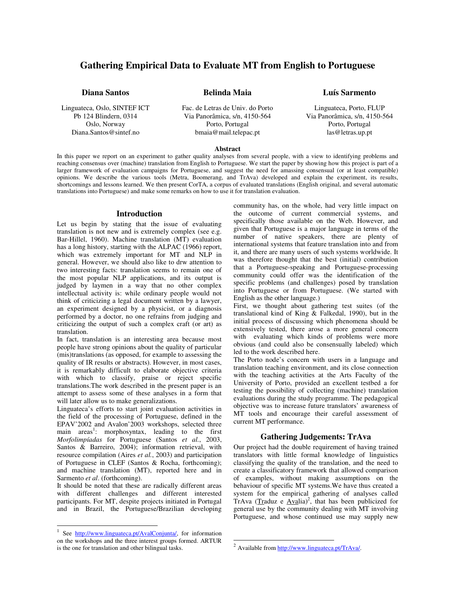# **Gathering Empirical Data to Evaluate MT from English to Portuguese**

**Belinda Maia**

**Diana Santos**

Linguateca, Oslo, SINTEF ICT Pb 124 Blindern, 0314 Oslo, Norway Diana.Santos@sintef.no

Fac. de Letras de Univ. do Porto Via Panorâmica, s/n, 4150-564 Porto, Portugal bmaia@mail.telepac.pt

# **Luís Sarmento**

Linguateca, Porto, FLUP Via Panorâmica, s/n, 4150-564 Porto, Portugal las@letras.up.pt

#### **Abstract**

In this paper we report on an experiment to gather quality analyses from several people, with a view to identifying problems and reaching consensus over (machine) translation from English to Portuguese. We start the paper by showing how this project is part of a larger framework of evaluation campaigns for Portuguese, and suggest the need for amassing consensual (or at least compatible) opinions. We describe the various tools (Metra, Boomerang, and TrAva) developed and explain the experiment, its results, shortcomings and lessons learned. We then present CorTA, a corpus of evaluated translations (English original, and several automatic translations into Portuguese) and make some remarks on how to use it for translation evaluation.

### **Introduction**

Let us begin by stating that the issue of evaluating translation is not new and is extremely complex (see e.g. Bar-Hillel, 1960). Machine translation (MT) evaluation has a long history, starting with the ALPAC (1966) report, which was extremely important for MT and NLP in general. However, we should also like to drw attention to two interesting facts: translation seems to remain one of the most popular NLP applications, and its output is judged by laymen in a way that no other complex intellectual activity is: while ordinary people would not think of criticizing a legal document written by a lawyer, an experiment designed by a physicist, or a diagnosis performed by a doctor, no one refrains from judging and criticizing the output of such a complex craft (or art) as translation.

In fact, translation is an interesting area because most people have strong opinions about the quality of particular (mis)translations (as opposed, for example to assessing the quality of IR results or abstracts). However, in most cases, it is remarkably difficult to elaborate objective criteria with which to classify, praise or reject specific translations.The work described in the present paper is an attempt to assess some of these analyses in a form that will later allow us to make generalizations.

Linguateca's efforts to start joint evaluation activities in the field of the processing of Portuguese, defined in the EPAV'2002 and Avalon'2003 workshops, selected three main areas<sup>1</sup>: morphosyntax, leading to the first *Morfolimpíadas* for Portuguese (Santos *et al.*, 2003, Santos & Barreiro, 2004); information retrieval, with resource compilation (Aires *et al.*, 2003) and participation of Portuguese in CLEF (Santos & Rocha, forthcoming); and machine translation (MT), reported here and in Sarmento *et al*. (forthcoming).

It should be noted that these are radically different areas with different challenges and different interested participants. For MT, despite projects initiated in Portugal and in Brazil, the Portuguese/Brazilian developing

community has, on the whole, had very little impact on the outcome of current commercial systems, and specifically those available on the Web. However, and given that Portuguese is a major language in terms of the number of native speakers, there are plenty of international systems that feature translation into and from it, and there are many users of such systems worldwide. It was therefore thought that the best (initial) contribution that a Portuguese-speaking and Portuguese-processing community could offer was the identification of the specific problems (and challenges) posed by translation into Portuguese or from Portuguese. (We started with English as the other language.)

First, we thought about gathering test suites (of the translational kind of King & Falkedal, 1990), but in the initial process of discussing which phenomena should be extensively tested, there arose a more general concern with evaluating which kinds of problems were more obvious (and could also be consensually labeled) which led to the work described here.

The Porto node's concern with users in a language and translation teaching environment, and its close connection with the teaching activities at the Arts Faculty of the University of Porto, provided an excellent testbed a for testing the possibility of collecting (machine) translation evaluations during the study programme. The pedagogical objective was to increase future translators' awareness of MT tools and encourage their careful assessment of current MT performance.

# **Gathering Judgements: TrAva**

Our project had the double requirement of having trained translators with little formal knowledge of linguistics classifying the quality of the translation, and the need to create a classificatory framework that allowed comparison of examples, without making assumptions on the behaviour of specific MT systems.We have thus created a system for the empirical gathering of analyses called TrAva (Traduz e  $\angle$ Avalia)<sup>2</sup>, that has been publicized for general use by the community dealing with MT involving Portuguese, and whose continued use may supply new

<sup>&</sup>lt;sup>1</sup> See http://www.linguateca.pt/AvalConjunta/, for information on the workshops and the three interest groups formed. ARTUR is the one for translation and other bilingual tasks.

<sup>&</sup>lt;sup>2</sup> Available from http://www.linguateca.pt/TrAva/.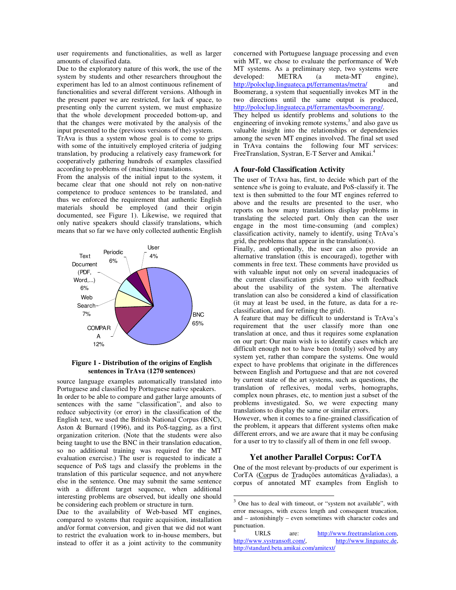user requirements and functionalities, as well as larger amounts of classified data.

Due to the exploratory nature of this work, the use of the system by students and other researchers throughout the experiment has led to an almost continuous refinement of functionalities and several different versions. Although in the present paper we are restricted, for lack of space, to presenting only the current system, we must emphasize that the whole development proceeded bottom-up, and that the changes were motivated by the analysis of the input presented to the (previous versions of the) system.

TrAva is thus a system whose goal is to come to grips with some of the intuitively employed criteria of judging translation, by producing a relatively easy framework for cooperatively gathering hundreds of examples classified according to problems of (machine) translations.

From the analysis of the initial input to the system, it became clear that one should not rely on non-native competence to produce sentences to be translated, and thus we enforced the requirement that authentic English materials should be employed (and their origin documented, see Figure 1). Likewise, we required that only native speakers should classify translations, which means that so far we have only collected authentic English



#### **Figure 1 - Distribution of the origins of English sentences in TrAva (1270 sentences)**

source language examples automatically translated into Portuguese and classified by Portuguese native speakers. In order to be able to compare and gather large amounts of sentences with the same "classification", and also to reduce subjectivity (or error) in the classification of the English text, we used the British National Corpus (BNC), Aston & Burnard (1996), and its PoS-tagging, as a first organization criterion. (Note that the students were also being taught to use the BNC in their translation education, so no additional training was required for the MT evaluation exercise.) The user is requested to indicate a sequence of PoS tags and classify the problems in the translation of this particular sequence, and not anywhere else in the sentence. One may submit the same sentence with a different target sequence, when additional interesting problems are observed, but ideally one should be considering each problem or structure in turn.

Due to the availability of Web-based MT engines, compared to systems that require acquisition, installation and/or format conversion, and given that we did not want to restrict the evaluation work to in-house members, but instead to offer it as a joint activity to the community

concerned with Portuguese language processing and even with MT, we chose to evaluate the performance of Web MT systems. As a preliminary step, two systems were developed: METRA (a meta-MT engine), http://poloclup.linguateca.pt/ferramentas/metra/ and Boomerang, a system that sequentially invokes MT in the two directions until the same output is produced, http://poloclup.linguateca.pt/ferramentas/boomerang/. They helped us identify problems and solutions to the engineering of invoking remote systems,<sup>3</sup> and also gave us

valuable insight into the relationships or dependencies among the seven MT engines involved. The final set used in TrAva contains the following four MT services:<br>FreeTranslation System E.T.Server and Amikai<sup>4</sup> FreeTranslation, Systran, E-T Server and Amikai.

#### **A four-fold Classification Activity**

The user of TrAva has, first, to decide which part of the sentence s/he is going to evaluate, and PoS-classify it. The text is then submitted to the four MT engines referred to above and the results are presented to the user, who reports on how many translations display problems in translating the selected part. Only then can the user engage in the most time-consuming (and complex) classification activity, namely to identify, using TrAva's grid, the problems that appear in the translation(s).

Finally, and optionally, the user can also provide an alternative translation (this is encouraged), together with comments in free text. These comments have provided us with valuable input not only on several inadequacies of the current classification grids but also with feedback about the usability of the system. The alternative translation can also be considered a kind of classification (it may at least be used, in the future, as data for a reclassification, and for refining the grid).

A feature that may be difficult to understand is TrAva's requirement that the user classify more than one translation at once, and thus it requires some explanation on our part: Our main wish is to identify cases which are difficult enough not to have been (totally) solved by any system yet, rather than compare the systems. One would expect to have problems that originate in the differences between English and Portuguese and that are not covered by current state of the art systems, such as questions, the translation of reflexives, modal verbs, homographs, complex noun phrases, etc, to mention just a subset of the problems investigated. So, we were expecting many translations to display the same or similar errors.

However, when it comes to a fine-grained classification of the problem, it appears that different systems often make different errors, and we are aware that it may be confusing for a user to try to classify all of them in one fell swoop.

# **Yet another Parallel Corpus: CorTA**

One of the most relevant by-products of our experiment is CorTA (Corpus de Traduções automáticas Avaliadas), a corpus of annotated MT examples from English to

 $3$  One has to deal with timeout, or "system not available", with error messages, with excess length and consequent truncation, and – astonishingly – even sometimes with character codes and punctuation.

URLS are: http://www.freetranslation.com,<br>ww.systransoft.com/, http://www.linguatec.de, http://www.systransoft.com/, http://standard.beta.amikai.com/amitext/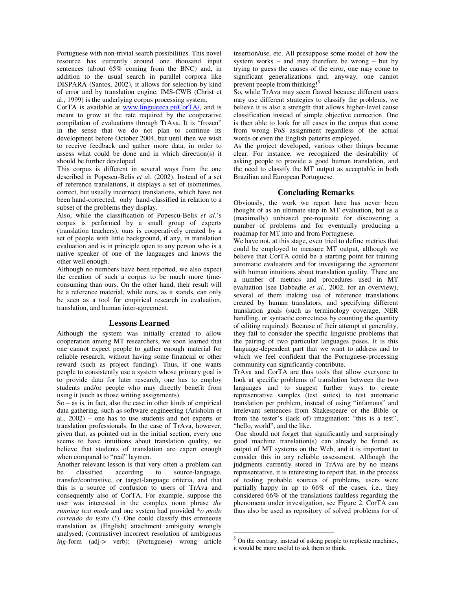Portuguese with non-trivial search possibilities. This novel resource has currently around one thousand input sentences (about 65% coming from the BNC) and, in addition to the usual search in parallel corpora like DISPARA (Santos, 2002), it allows for selection by kind of error and by translation engine. IMS-CWB (Christ et al., 1999) is the underlying corpus processing system.

CorTA is available at www.linguateca.pt/CorTA/, and is meant to grow at the rate required by the cooperative compilation of evaluations through TrAva. It is "frozen" in the sense that we do not plan to continue its development before October 2004, but until then we wish to receive feedback and gather more data, in order to assess what could be done and in which direction(s) it should be further developed.

This corpus is different in several ways from the one described in Popescu-Belis *et a*l. (2002). Instead of a set of reference translations, it displays a set of (sometimes, correct, but usually incorrect) translations, which have not been hand-corrected, only hand-classified in relation to a subset of the problems they display.

Also, while the classification of Popescu-Belis *et al*.'s corpus is performed by a small group of experts (translation teachers), ours is cooperatively created by a set of people with little background, if any, in translation evaluation and is in principle open to any person who is a native speaker of one of the languages and knows the other well enough.

Although no numbers have been reported, we also expect the creation of such a corpus to be much more timeconsuming than ours. On the other hand, their result will be a reference material, while ours, as it stands, can only be seen as a tool for empirical research in evaluation, translation, and human inter-agreement.

# **Lessons Learned**

Although the system was initially created to allow cooperation among MT researchers, we soon learned that one cannot expect people to gather enough material for reliable research, without having some financial or other reward (such as project funding). Thus, if one wants people to consistently use a system whose primary goal is to provide data for later research, one has to employ students and/or people who may directly benefit from using it (such as those writing assignments).

So – as is, in fact, also the case in other kinds of empirical data gathering, such as software engineering (Arisholm et al., 2002) – one has to use students and not experts or translation professionals. In the case of TrAva, however, given that, as pointed out in the initial section, every one seems to have intuitions about translation quality, we believe that students of translation are expert enough when compared to "real" laymen.

Another relevant lesson is that very often a problem can be classified according to source-language, transfer/contrastive, or target-language criteria, and that this is a source of confusion to users of TrAva and consequently also of CorTA. For example, suppose the user was interested in the complex noun phrase *the running text mode* and one system had provided \**o modo correndo do texto* (!). One could classify this erroneous translation as (English) attachment ambiguity wrongly analysed; (contrastive) incorrect resolution of ambiguous *ing*-form (adj-> verb); (Portuguese) wrong article

insertion/use, etc. All presuppose some model of how the system works – and may therefore be wrong – but by trying to guess the causes of the error, one may come to significant generalizations and, anyway, one cannot prevent people from thinking!<sup>5</sup>

So, while TrAva may seem flawed because different users may use different strategies to classify the problems, we believe it is also a strength that allows higher-level cause classification instead of simple objective correction. One is then able to look for all cases in the corpus that come from wrong PoS assignment regardless of the actual words or even the English patterns employed.

As the project developed, various other things became clear. For instance, we recognized the desirability of asking people to provide a good human translation, and the need to classify the MT output as acceptable in both Brazilian and European Portuguese.

# **Concluding Remarks**

Obviously, the work we report here has never been thought of as an ultimate step in MT evaluation, but as a (maximally) unbiased pre-requisite for discovering a number of problems and for eventually producing a roadmap for MT into and from Portuguese.

We have not, at this stage, even tried to define metrics that could be employed to measure MT output, although we believe that CorTA could be a starting point for training automatic evaluators and for investigating the agreement with human intuitions about translation quality. There are a number of metrics and procedures used in MT evaluation (see Dabbadie *et al*., 2002, for an overview), several of them making use of reference translations created by human translators, and specifying different translation goals (such as terminology coverage, NER handling, or syntactic correctness by counting the quantity of editing required). Because of their attempt at generality, they fail to consider the specific linguistic problems that the pairing of two particular languages poses. It is this language-dependent part that we want to address and to which we feel confident that the Portuguese-processing community can significantly contribute.

TrAva and CorTA are thus tools that allow everyone to look at specific problems of translation between the two languages and to suggest further ways to create representative samples (test suites) to test automatic translation per problem, instead of using "infamous" and irrelevant sentences from Shakespeare or the Bible or from the tester's (lack of) imagination: "this is a test", "hello, world", and the like.

One should not forget that significantly and surprisingly good machine translation(s) can already be found as output of MT systems on the Web, and it is important to consider this in any reliable assessment. Although the judgments currently stored in TrAva are by no means representative, it is interesting to report that, in the process of testing probable sources of problems, users were partially happy in up to 66% of the cases, i.e., they considered 66% of the translations faultless regarding the phenomena under investigation, see Figure 2. CorTA can thus also be used as repository of solved problems (or of

 $<sup>5</sup>$  On the contrary, instead of asking people to replicate machines,</sup> it would be more useful to ask them to think.